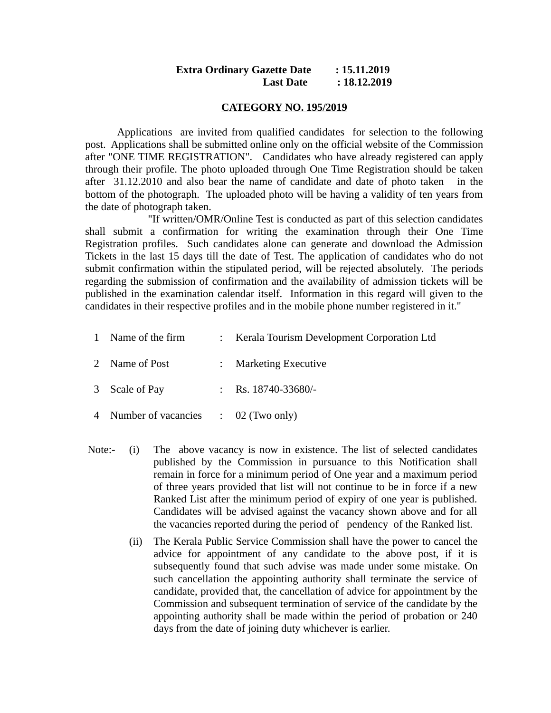### **Extra Ordinary Gazette Date : 15.11.2019 Last Date : 18.12.2019**

#### **CATEGORY NO. 195/2019**

Applications are invited from qualified candidates for selection to the following post. Applications shall be submitted online only on the official website of the Commission after "ONE TIME REGISTRATION". Candidates who have already registered can apply through their profile. The photo uploaded through One Time Registration should be taken after 31.12.2010 and also bear the name of candidate and date of photo taken in the bottom of the photograph. The uploaded photo will be having a validity of ten years from the date of photograph taken.

 "If written/OMR/Online Test is conducted as part of this selection candidates shall submit a confirmation for writing the examination through their One Time Registration profiles. Such candidates alone can generate and download the Admission Tickets in the last 15 days till the date of Test. The application of candidates who do not submit confirmation within the stipulated period, will be rejected absolutely. The periods regarding the submission of confirmation and the availability of admission tickets will be published in the examination calendar itself. Information in this regard will given to the candidates in their respective profiles and in the mobile phone number registered in it."

|  | 1 Name of the firm |  | Kerala Tourism Development Corporation Ltd |
|--|--------------------|--|--------------------------------------------|
|--|--------------------|--|--------------------------------------------|

- 2 Name of Post : Marketing Executive
- 3 Scale of Pay : Rs. 18740-33680/-
- 4 Number of vacancies : 02 (Two only)
- Note:- (i) The above vacancy is now in existence. The list of selected candidates published by the Commission in pursuance to this Notification shall remain in force for a minimum period of One year and a maximum period of three years provided that list will not continue to be in force if a new Ranked List after the minimum period of expiry of one year is published. Candidates will be advised against the vacancy shown above and for all the vacancies reported during the period of pendency of the Ranked list.
	- (ii) The Kerala Public Service Commission shall have the power to cancel the advice for appointment of any candidate to the above post, if it is subsequently found that such advise was made under some mistake. On such cancellation the appointing authority shall terminate the service of candidate, provided that, the cancellation of advice for appointment by the Commission and subsequent termination of service of the candidate by the appointing authority shall be made within the period of probation or 240 days from the date of joining duty whichever is earlier.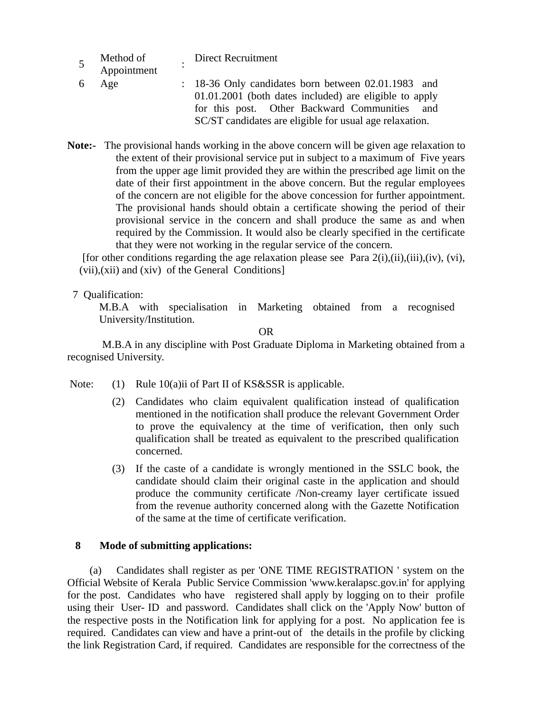|    | Method of<br>Appointment | <b>Direct Recruitment</b>                                                                                                                                                                                                 |
|----|--------------------------|---------------------------------------------------------------------------------------------------------------------------------------------------------------------------------------------------------------------------|
| -6 | Age                      | : 18-36 Only candidates born between 02.01.1983 and<br>01.01.2001 (both dates included) are eligible to apply<br>for this post. Other Backward Communities and<br>SC/ST candidates are eligible for usual age relaxation. |

**Note:-** The provisional hands working in the above concern will be given age relaxation to the extent of their provisional service put in subject to a maximum of Five years from the upper age limit provided they are within the prescribed age limit on the date of their first appointment in the above concern. But the regular employees of the concern are not eligible for the above concession for further appointment. The provisional hands should obtain a certificate showing the period of their provisional service in the concern and shall produce the same as and when required by the Commission. It would also be clearly specified in the certificate that they were not working in the regular service of the concern.

[for other conditions regarding the age relaxation please see Para  $2(i)$ , $(ii)$ , $(iii)$ , $(iv)$ ,  $(vi)$ , (vii),(xii) and (xiv) of the General Conditions]

7 Qualification:

M.B.A with specialisation in Marketing obtained from a recognised University/Institution.

OR

 M.B.A in any discipline with Post Graduate Diploma in Marketing obtained from a recognised University.

- Note: (1) Rule 10(a)ii of Part II of KS&SSR is applicable.
	- (2) Candidates who claim equivalent qualification instead of qualification mentioned in the notification shall produce the relevant Government Order to prove the equivalency at the time of verification, then only such qualification shall be treated as equivalent to the prescribed qualification concerned.
	- (3) If the caste of a candidate is wrongly mentioned in the SSLC book, the candidate should claim their original caste in the application and should produce the community certificate /Non-creamy layer certificate issued from the revenue authority concerned along with the Gazette Notification of the same at the time of certificate verification.

## **8 Mode of submitting applications:**

 (a) Candidates shall register as per 'ONE TIME REGISTRATION ' system on the Official Website of Kerala Public Service Commission 'www.keralapsc.gov.in' for applying for the post. Candidates who have registered shall apply by logging on to their profile using their User- ID and password. Candidates shall click on the 'Apply Now' button of the respective posts in the Notification link for applying for a post. No application fee is required. Candidates can view and have a print-out of the details in the profile by clicking the link Registration Card, if required. Candidates are responsible for the correctness of the